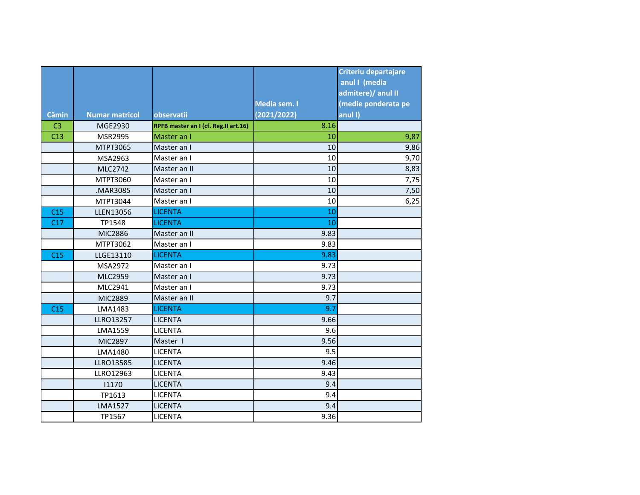|                |                       |                                      |              | Criteriu departajare |
|----------------|-----------------------|--------------------------------------|--------------|----------------------|
|                |                       |                                      |              | anul I (media        |
|                |                       |                                      |              | admitere)/ anul II   |
|                |                       |                                      | Media sem. I | (medie ponderata pe  |
| <b>Cămin</b>   | <b>Numar matricol</b> | observatii                           | (2021/2022)  | anul I)              |
| C <sub>3</sub> | MGE2930               | RPFB master an I (cf. Reg.II art.16) | 8.16         |                      |
| C13            | <b>MSR2995</b>        | Master an I                          | 10           | 9,87                 |
|                | MTPT3065              | Master an I                          | 10           | 9,86                 |
|                | MSA2963               | Master an I                          | 10           | 9,70                 |
|                | MLC2742               | Master an II                         | 10           | 8,83                 |
|                | MTPT3060              | Master an I                          | 10           | 7,75                 |
|                | .MAR3085              | Master an I                          | 10           | 7,50                 |
|                | MTPT3044              | Master an I                          | 10           | 6,25                 |
| C15            | <b>LLEN13056</b>      | <b>LICENTA</b>                       | 10           |                      |
| C17            | TP1548                | <b>LICENTA</b>                       | 10           |                      |
|                | <b>MIC2886</b>        | Master an II                         | 9.83         |                      |
|                | MTPT3062              | Master an I                          | 9.83         |                      |
| C15            | LLGE13110             | <b>LICENTA</b>                       | 9.83         |                      |
|                | MSA2972               | Master an I                          | 9.73         |                      |
|                | <b>MLC2959</b>        | Master an I                          | 9.73         |                      |
|                | MLC2941               | Master an I                          | 9.73         |                      |
|                | MIC2889               | Master an II                         | 9.7          |                      |
| C15            | LMA1483               | <b>LICENTA</b>                       | 9.7          |                      |
|                | <b>LLRO13257</b>      | <b>LICENTA</b>                       | 9.66         |                      |
|                | LMA1559               | <b>LICENTA</b>                       | 9.6          |                      |
|                | MIC2897               | Master I                             | 9.56         |                      |
|                | LMA1480               | <b>LICENTA</b>                       | 9.5          |                      |
|                | <b>LLRO13585</b>      | <b>LICENTA</b>                       | 9.46         |                      |
|                | LLRO12963             | <b>LICENTA</b>                       | 9.43         |                      |
|                | 11170                 | <b>LICENTA</b>                       | 9.4          |                      |
|                | TP1613                | <b>LICENTA</b>                       | 9.4          |                      |
|                | <b>LMA1527</b>        | <b>LICENTA</b>                       | 9.4          |                      |
|                | TP1567                | <b>LICENTA</b>                       | 9.36         |                      |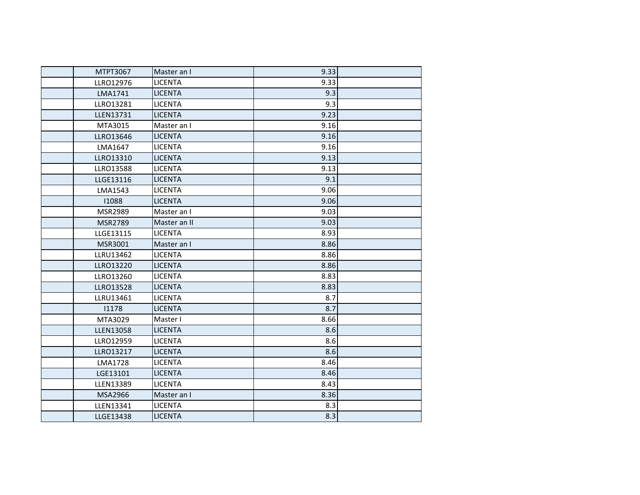| MTPT3067         | Master an I    | 9.33 |  |
|------------------|----------------|------|--|
| LLRO12976        | <b>LICENTA</b> | 9.33 |  |
| LMA1741          | <b>LICENTA</b> | 9.3  |  |
| LLRO13281        | <b>LICENTA</b> | 9.3  |  |
| <b>LLEN13731</b> | <b>LICENTA</b> | 9.23 |  |
| MTA3015          | Master an I    | 9.16 |  |
| LLRO13646        | <b>LICENTA</b> | 9.16 |  |
| LMA1647          | <b>LICENTA</b> | 9.16 |  |
| LLRO13310        | <b>LICENTA</b> | 9.13 |  |
| LLRO13588        | <b>LICENTA</b> | 9.13 |  |
| LLGE13116        | <b>LICENTA</b> | 9.1  |  |
| LMA1543          | <b>LICENTA</b> | 9.06 |  |
| 11088            | <b>LICENTA</b> | 9.06 |  |
| MSR2989          | Master an I    | 9.03 |  |
| MSR2789          | Master an II   | 9.03 |  |
| LLGE13115        | <b>LICENTA</b> | 8.93 |  |
| MSR3001          | Master an I    | 8.86 |  |
| LLRU13462        | <b>LICENTA</b> | 8.86 |  |
| LLRO13220        | <b>LICENTA</b> | 8.86 |  |
| LLRO13260        | <b>LICENTA</b> | 8.83 |  |
| LLRO13528        | <b>LICENTA</b> | 8.83 |  |
| LLRU13461        | <b>LICENTA</b> | 8.7  |  |
| 11178            | <b>LICENTA</b> | 8.7  |  |
| MTA3029          | Master I       | 8.66 |  |
| <b>LLEN13058</b> | <b>LICENTA</b> | 8.6  |  |
| LLRO12959        | <b>LICENTA</b> | 8.6  |  |
| LLRO13217        | <b>LICENTA</b> | 8.6  |  |
| <b>LMA1728</b>   | <b>LICENTA</b> | 8.46 |  |
| LGE13101         | <b>LICENTA</b> | 8.46 |  |
| <b>LLEN13389</b> | <b>LICENTA</b> | 8.43 |  |
| <b>MSA2966</b>   | Master an I    | 8.36 |  |
| <b>LLEN13341</b> | <b>LICENTA</b> | 8.3  |  |
| <b>LLGE13438</b> | <b>LICENTA</b> | 8.3  |  |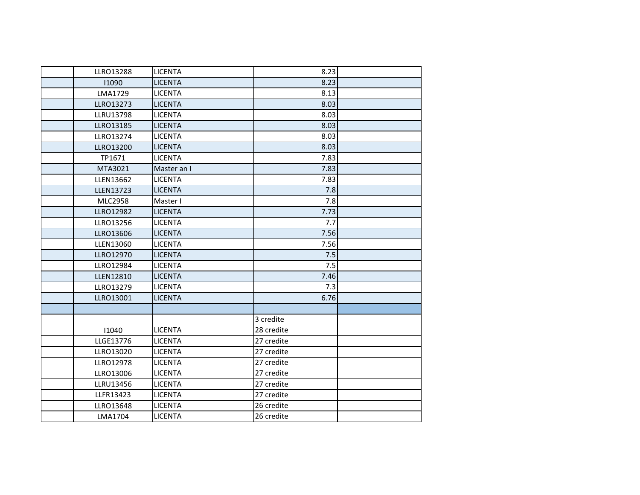| LLRO13288        | <b>LICENTA</b> | 8.23       |  |
|------------------|----------------|------------|--|
| 11090            | <b>LICENTA</b> | 8.23       |  |
| LMA1729          | <b>LICENTA</b> | 8.13       |  |
| LLRO13273        | <b>LICENTA</b> | 8.03       |  |
| <b>LLRU13798</b> | <b>LICENTA</b> | 8.03       |  |
| LLRO13185        | <b>LICENTA</b> | 8.03       |  |
| LLRO13274        | <b>LICENTA</b> | 8.03       |  |
| LLRO13200        | <b>LICENTA</b> | 8.03       |  |
| TP1671           | <b>LICENTA</b> | 7.83       |  |
| MTA3021          | Master an I    | 7.83       |  |
| LLEN13662        | <b>LICENTA</b> | 7.83       |  |
| <b>LLEN13723</b> | <b>LICENTA</b> | 7.8        |  |
| <b>MLC2958</b>   | Master I       | 7.8        |  |
| LLRO12982        | <b>LICENTA</b> | 7.73       |  |
| LLRO13256        | <b>LICENTA</b> | 7.7        |  |
| LLRO13606        | <b>LICENTA</b> | 7.56       |  |
| LLEN13060        | <b>LICENTA</b> | 7.56       |  |
| LLRO12970        | <b>LICENTA</b> | 7.5        |  |
| LLRO12984        | <b>LICENTA</b> | 7.5        |  |
| <b>LLEN12810</b> | <b>LICENTA</b> | 7.46       |  |
| LLRO13279        | <b>LICENTA</b> | 7.3        |  |
| LLRO13001        | <b>LICENTA</b> | 6.76       |  |
|                  |                |            |  |
|                  |                | 3 credite  |  |
| 11040            | <b>LICENTA</b> | 28 credite |  |
| LLGE13776        | <b>LICENTA</b> | 27 credite |  |
| LLRO13020        | <b>LICENTA</b> | 27 credite |  |
| LLRO12978        | LICENTA        | 27 credite |  |
| LLRO13006        | <b>LICENTA</b> | 27 credite |  |
| LLRU13456        | <b>LICENTA</b> | 27 credite |  |
| LLFR13423        | <b>LICENTA</b> | 27 credite |  |
| LLRO13648        | <b>LICENTA</b> | 26 credite |  |
| LMA1704          | <b>LICENTA</b> | 26 credite |  |